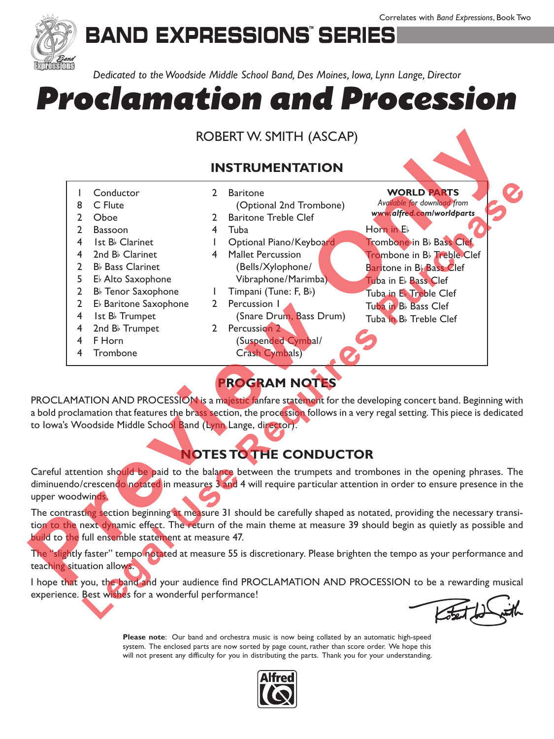

**BAND EXPRESSIONS™ SERIES**

*Dedicated to the Woodside Middle School Band, Des Moines, Iowa, Lynn Lange, Director*



## ROBERT W. SMITH (ASCAP)

## **INSTRUMENTATION**

- 1 Conductor
- 8 C Flute
- 2 Oboe
- 2 Bassoon
- $4$  1st B<sub>b</sub> Clarinet
- 4 2nd B<sub>b</sub> Clarinet
- 2 B<sub>b</sub> Bass Clarinet
- 5 El Alto Saxophone
- 2 B<sub>b</sub> Tenor Saxophone
- 2 E<sub>b</sub> Baritone Saxophone
- 4 Ist B<sub>b</sub> Trumpet
- 4 2nd B<sub>b</sub> Trumpet
- 4 F Horn
- 4 Trombone
- 2 Baritone
	- (Optional 2nd Trombone)
- 2 Baritone Treble Clef
- 4 Tuba
- 1 Optional Piano/Keyboard
- 4 Mallet Percussion (Bells/Xylophone/ Vibraphone/Marimba)
- I Timpani (Tune: F, B<sub></sub>)
- 2 Percussion 1
- (Snare Drum, Bass Drum)
- 2 Percussion 2 (Suspended Cymbal/ Crash Cymbals)

*Available for download from www.alfred.com/worldparts* Horn in  $\mathsf{E}\flat$ Trombone in B<sub>b</sub> Bass Clef Trombone in B♭ <mark>Treble Cl</mark>ef B<mark>ari</mark>tone in Bl Bass Clef

**WORLD PARTS**

- Tuba in E<sub>b</sub> Bass Clef Tuba in El Treble Clef
- Tuba in B<sub>b</sub> Bass Clef Tuba i<mark>n</mark> B♭ Treble Clef

# **PROGRAM NOTES**

PROCLAMATION AND PROCESSION is a majestic fanfare statement for the developing concert band. Beginning with a bold proclamation that features the brass section, the procession follows in a very regal setting. This piece is dedicated to Iowa's Woodside Middle School Band (Lynn Lange, director).

# **NOTES TO THE CONDUCTOR**

Careful attention should be paid to the balance between the trumpets and trombones in the opening phrases. The diminuendo/crescendo notated in measures 3 and 4 will require particular attention in order to ensure presence in the upper woodwinds.

The contrasting section beginning at measure 31 should be carefully shaped as notated, providing the necessary transition to the next dynamic effect. The return of the main theme at measure 39 should begin as quietly as possible and build to the full ensemble statement at measure 47. **PROCLAMATION AND PROCESSION is a mean of the state of the state of the state of the state of the state of the state of the state of the state of the state of the state of the state of the state of the state of the state o** Conductor 2 Baritone (Coptomal 2nd Trombone)<br>
Chicago Chicago (Depiction Treble Clef Methods Chicago Chicago Chicago Chicago Chicago Chicago Chicago Chicago Chicago Chicago Chicago Chicago Chicago Chicago Chicago Chicago C

The "slightly faster" tempo notated at measure 55 is discretionary. Please brighten the tempo as your performance and teaching situation allows.

I hope that you, the band and your audience find PROCLAMATION AND PROCESSION to be a rewarding musical experience. Best wishes for a wonderful performance!

**Please note**: Our band and orchestra music is now being collated by an automatic high-speed system. The enclosed parts are now sorted by page count, rather than score order. We hope this will not present any difficulty for you in distributing the parts. Thank you for your understanding.

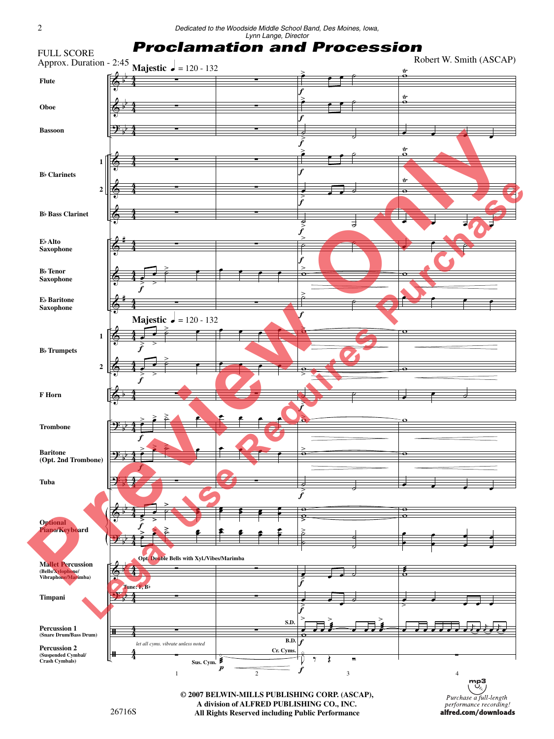### *Dedicated to the Woodside Middle School Band, Des Moines, Iowa, Lynn Lange, Director*

| <b>FULL SCORE</b><br>Approx. Duration - 2:45   | <b>Majestic</b> $\boldsymbol{\bullet} = 120 - 132$ |                   |                  | Robert W. Smith (ASCAP)          |
|------------------------------------------------|----------------------------------------------------|-------------------|------------------|----------------------------------|
| Flute                                          |                                                    |                   |                  | r<br>⊖                           |
|                                                |                                                    |                   |                  |                                  |
|                                                |                                                    |                   |                  | H<br>$\bullet$                   |
| Oboe                                           |                                                    |                   |                  |                                  |
|                                                |                                                    |                   |                  |                                  |
| <b>Bassoon</b>                                 |                                                    |                   |                  |                                  |
|                                                |                                                    |                   |                  | M                                |
| 1                                              |                                                    |                   |                  | O                                |
|                                                |                                                    |                   |                  |                                  |
| <b>B</b> b Clarinets                           |                                                    |                   |                  | $\boldsymbol{\vartheta}$         |
| $\overline{2}$                                 |                                                    |                   |                  | ø                                |
|                                                |                                                    |                   |                  |                                  |
| B <sub>b</sub> Bass Clarinet                   |                                                    |                   |                  |                                  |
|                                                |                                                    |                   | ਭ                |                                  |
|                                                |                                                    |                   |                  |                                  |
| $E^{\flat}$ Alto<br><b>Saxophone</b>           |                                                    |                   |                  |                                  |
|                                                |                                                    |                   |                  |                                  |
| $\mathbf{B}\flat$ Tenor<br><b>Saxophone</b>    |                                                    |                   | $\mathbf \sigma$ | $\mathbf \sigma$                 |
|                                                |                                                    |                   |                  |                                  |
|                                                |                                                    |                   |                  |                                  |
| $\mathbf{E}\flat$ Baritone<br><b>Saxophone</b> |                                                    |                   |                  |                                  |
|                                                | <b>Majestic</b> $\bullet$ = 120 - 132              |                   |                  |                                  |
|                                                |                                                    |                   |                  | $\mathbf \sigma$                 |
| $\mathbf{1}$                                   |                                                    |                   |                  |                                  |
| $\mathbf{B}\flat$ Trumpets                     |                                                    |                   |                  |                                  |
| $\mathbf{2}$                                   |                                                    |                   |                  |                                  |
|                                                |                                                    |                   |                  | e                                |
|                                                |                                                    |                   |                  |                                  |
| F Horn                                         |                                                    |                   |                  |                                  |
|                                                |                                                    |                   |                  |                                  |
|                                                |                                                    |                   |                  | $\Omega$                         |
| <b>Trombone</b>                                | — b                                                |                   |                  |                                  |
|                                                |                                                    |                   |                  |                                  |
| <b>Baritone</b>                                |                                                    |                   | ⊖                | $\bullet$                        |
| (Opt. 2nd Trombone)                            |                                                    |                   |                  |                                  |
| Tuba                                           |                                                    |                   |                  |                                  |
|                                                |                                                    |                   |                  |                                  |
|                                                |                                                    |                   |                  |                                  |
|                                                |                                                    |                   | $\bullet$<br>o   | $\overline{\bullet}$<br>$\Omega$ |
| <b>Optional</b>                                |                                                    |                   |                  |                                  |
| Piano/Keyboard                                 | る<br>$\bullet$                                     |                   | $\geq$           |                                  |
|                                                |                                                    |                   |                  |                                  |
|                                                | Opt. Double Bells with Xyl./Vibes/Marimba          |                   |                  |                                  |
| <b>Mallet Percussion</b><br>(Bells/Xylophone/  |                                                    | ▬                 |                  | ś                                |
| Vibraphone/Marimba)                            |                                                    |                   |                  |                                  |
|                                                | Tune: F, B                                         |                   |                  |                                  |
| Timpani                                        | $\overline{\nu}$                                   |                   |                  |                                  |
|                                                |                                                    |                   |                  |                                  |
| <b>Percussion 1</b>                            |                                                    | S.D.              |                  |                                  |
| (Snare Drum/Bass Drum)                         | 78                                                 |                   |                  |                                  |
| <b>Percussion 2</b>                            | let all cyms. vibrate unless noted                 | B.D.<br>Cr. Cyms. | f                |                                  |
| (Suspended Cymbal/<br><b>Crash Cymbals</b> )   | ╫<br>Sus. Cym.                                     | ź                 | ۰,               |                                  |
|                                                |                                                    | $\boldsymbol{p}$  |                  |                                  |

**© 2007 BELWIN-MILLS PUBLISHING CORP. (ASCAP), A division of ALFRED PUBLISHING CO., INC. All Rights Reserved including Public Performance**

Purchase a full-length<br>performance recording!<br>**alfred.com/downloads**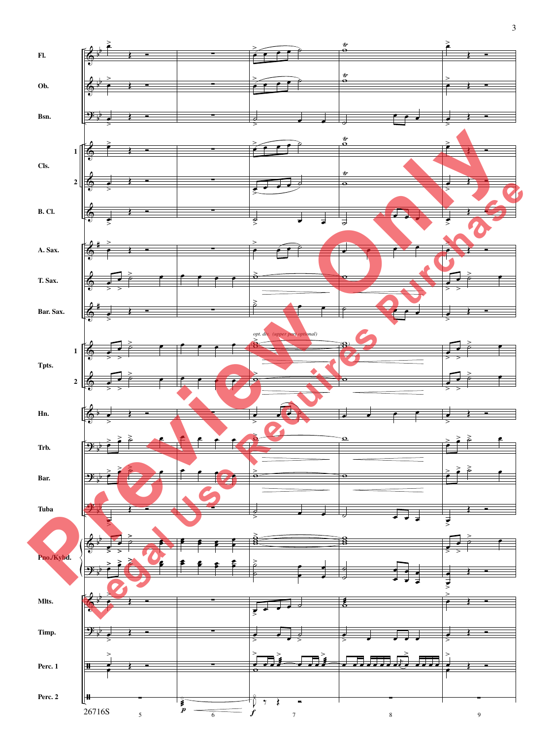

 $\mathfrak{Z}$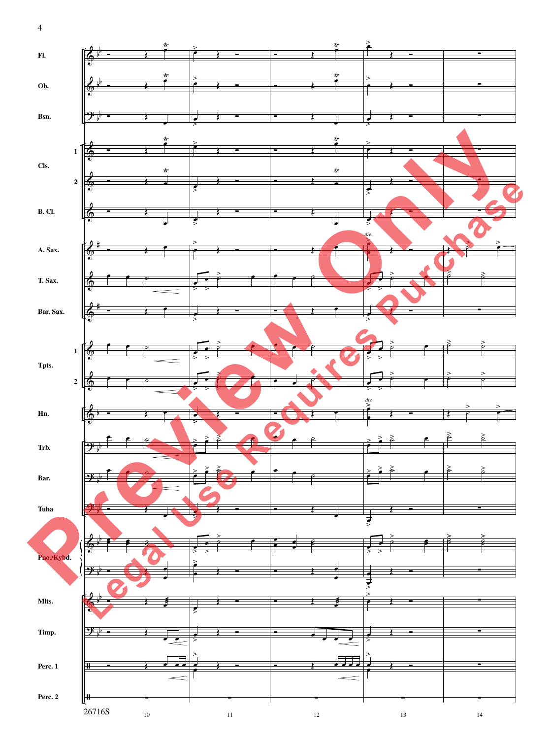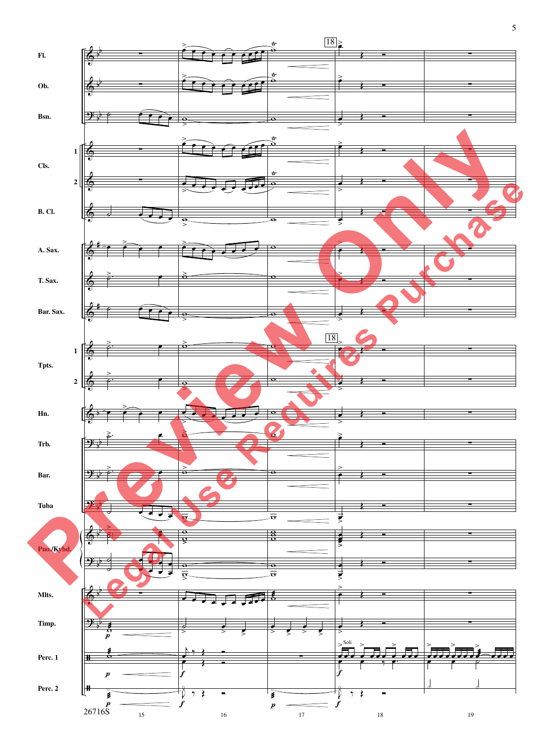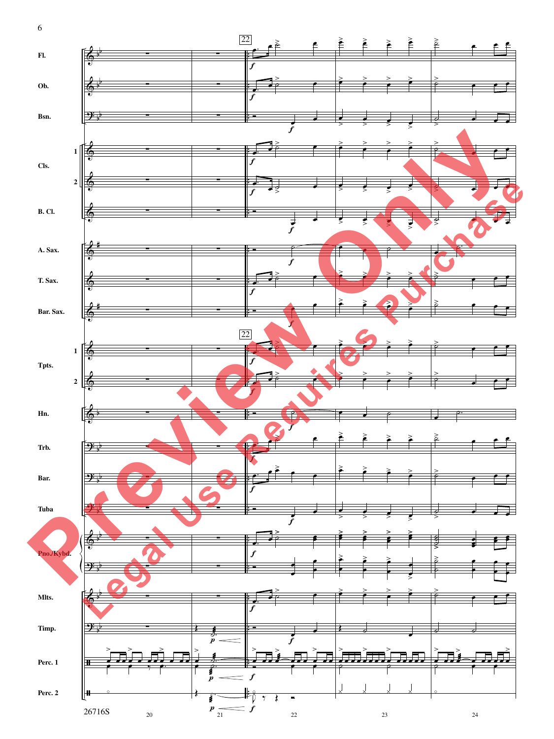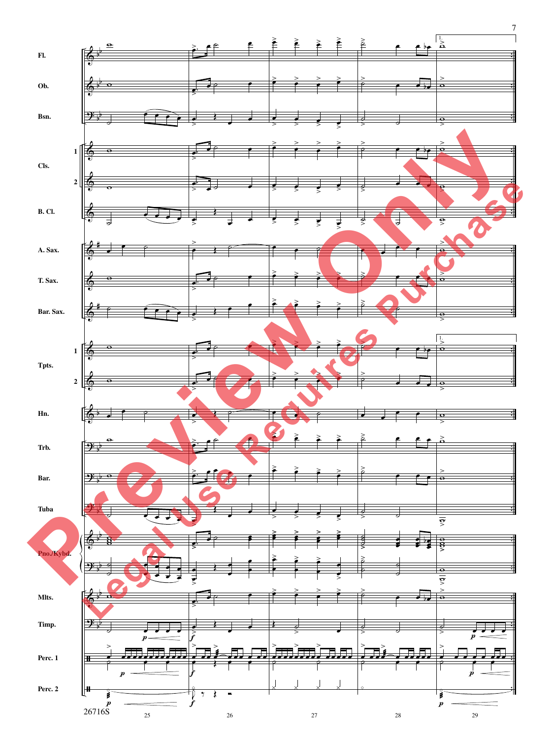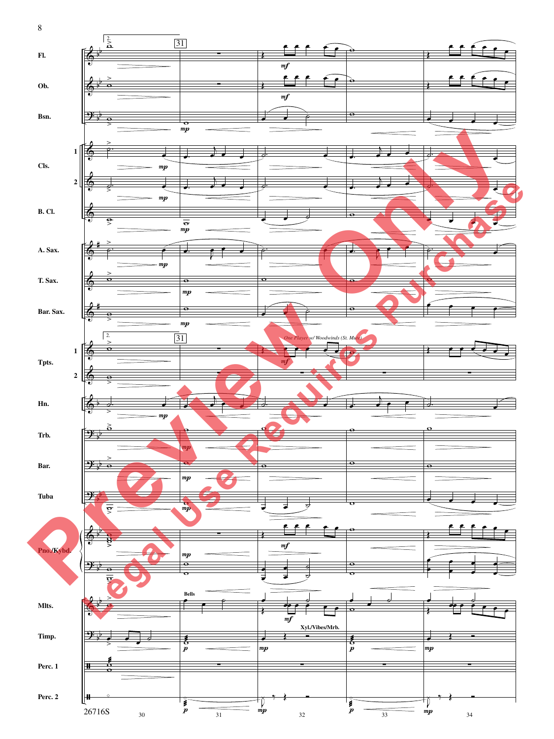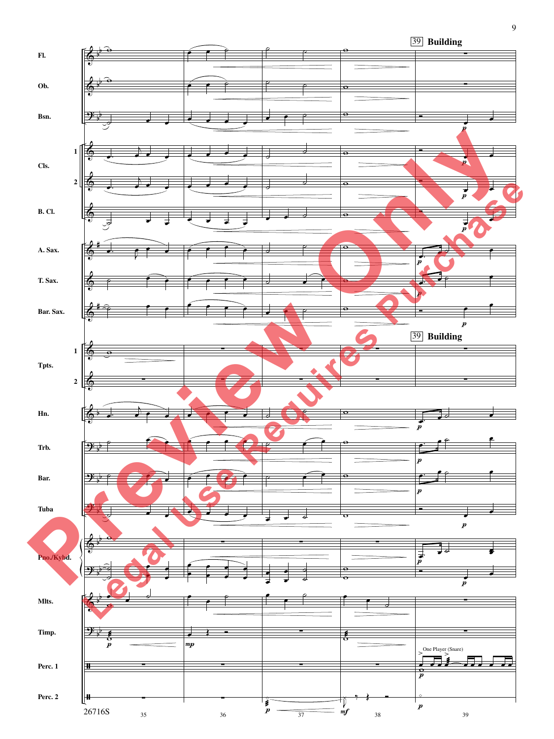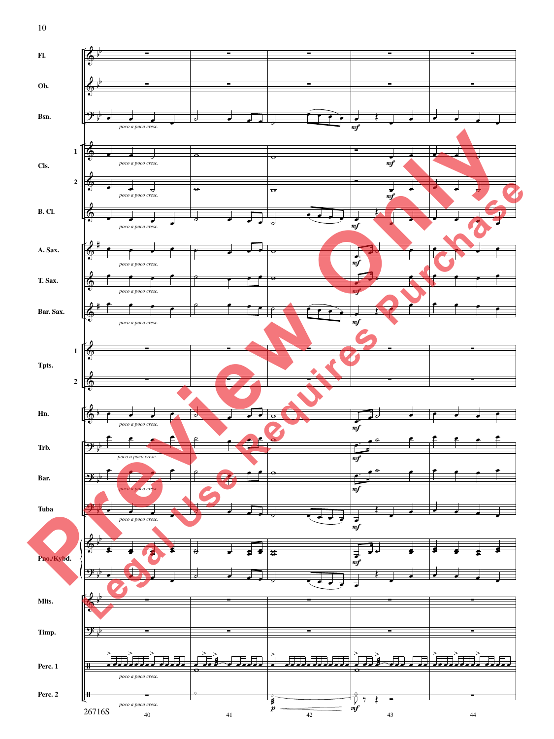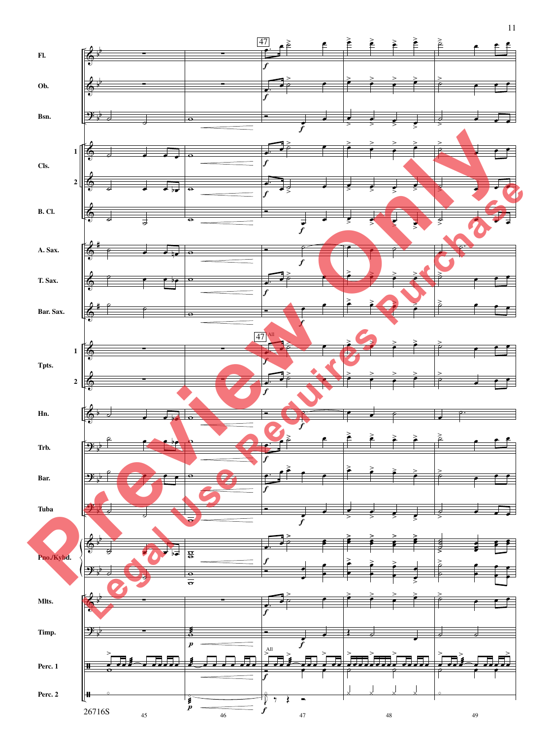

 $11\,$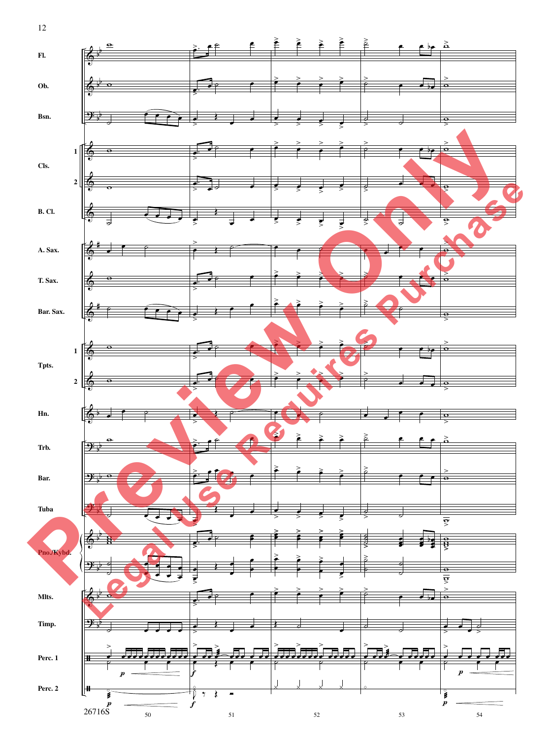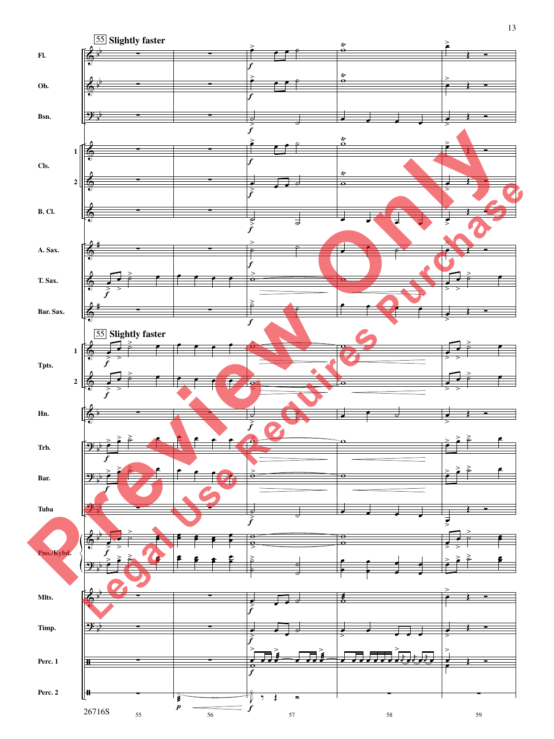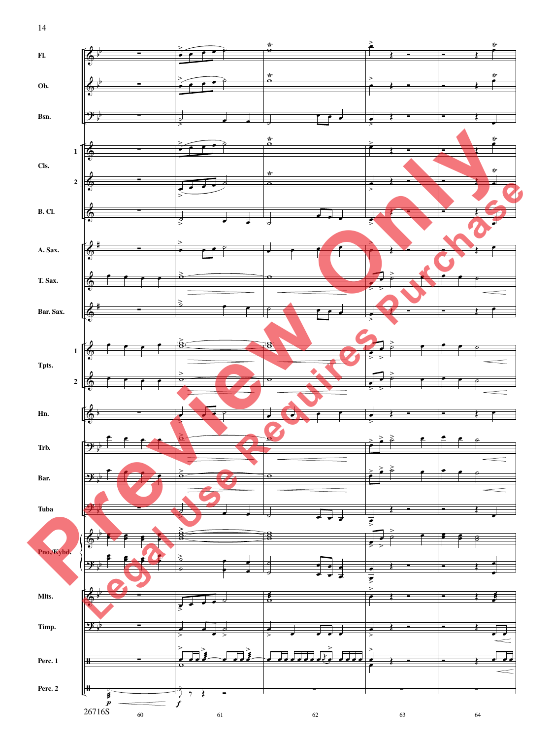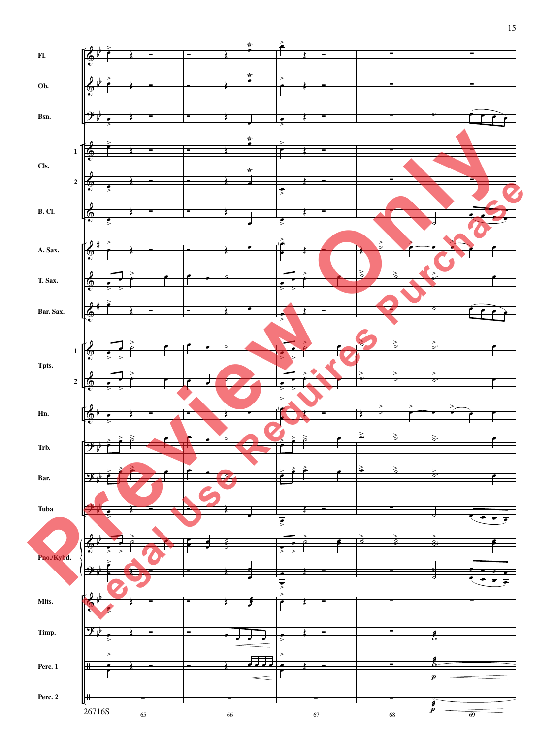